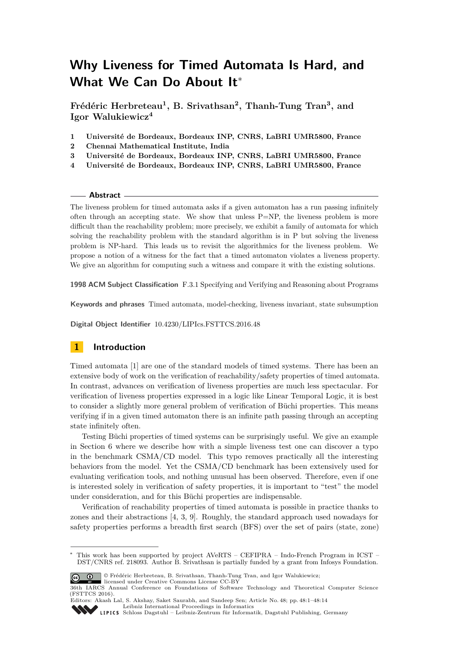# **Why Liveness for Timed Automata Is Hard, and What We Can Do About It**<sup>∗</sup>

**Frédéric Herbreteau<sup>1</sup> , B. Srivathsan<sup>2</sup> , Thanh-Tung Tran<sup>3</sup> , and Igor Walukiewicz<sup>4</sup>**

- **1 Université de Bordeaux, Bordeaux INP, CNRS, LaBRI UMR5800, France**
- **2 Chennai Mathematical Institute, India**
- **3 Université de Bordeaux, Bordeaux INP, CNRS, LaBRI UMR5800, France**
- **4 Université de Bordeaux, Bordeaux INP, CNRS, LaBRI UMR5800, France**

#### **Abstract**

The liveness problem for timed automata asks if a given automaton has a run passing infinitely often through an accepting state. We show that unless  $P=NP$ , the liveness problem is more difficult than the reachability problem; more precisely, we exhibit a family of automata for which solving the reachability problem with the standard algorithm is in P but solving the liveness problem is NP-hard. This leads us to revisit the algorithmics for the liveness problem. We propose a notion of a witness for the fact that a timed automaton violates a liveness property. We give an algorithm for computing such a witness and compare it with the existing solutions.

**1998 ACM Subject Classification** F.3.1 Specifying and Verifying and Reasoning about Programs

**Keywords and phrases** Timed automata, model-checking, liveness invariant, state subsumption

**Digital Object Identifier** [10.4230/LIPIcs.FSTTCS.2016.48](http://dx.doi.org/10.4230/LIPIcs.FSTTCS.2016.48)

# **1 Introduction**

Timed automata [\[1\]](#page-13-0) are one of the standard models of timed systems. There has been an extensive body of work on the verification of reachability/safety properties of timed automata. In contrast, advances on verification of liveness properties are much less spectacular. For verification of liveness properties expressed in a logic like Linear Temporal Logic, it is best to consider a slightly more general problem of verification of Büchi properties. This means verifying if in a given timed automaton there is an infinite path passing through an accepting state infinitely often.

Testing Büchi properties of timed systems can be surprisingly useful. We give an example in Section [6](#page-10-0) where we describe how with a simple liveness test one can discover a typo in the benchmark CSMA/CD model. This typo removes practically all the interesting behaviors from the model. Yet the CSMA/CD benchmark has been extensively used for evaluating verification tools, and nothing unusual has been observed. Therefore, even if one is interested solely in verification of safety properties, it is important to "test" the model under consideration, and for this Büchi properties are indispensable.

Verification of reachability properties of timed automata is possible in practice thanks to zones and their abstractions [\[4,](#page-13-1) [3,](#page-13-2) [9\]](#page-13-3). Roughly, the standard approach used nowadays for safety properties performs a breadth first search (BFS) over the set of pairs (state, zone)

<sup>∗</sup> This work has been supported by project AVeRTS – CEFIPRA – Indo-French Program in ICST – DST/CNRS ref. 218093. Author B. Srivathsan is partially funded by a grant from Infosys Foundation.



licensed under Creative Commons License CC-BY

<sup>36</sup>th IARCS Annual Conference on Foundations of Software Technology and Theoretical Computer Science (FSTTCS 2016).

Editors: Akash Lal, S. Akshay, Saket Saurabh, and Sandeep Sen; Article No. 48; pp. 48:1–48[:14](#page-13-4) [Leibniz International Proceedings in Informatics](http://www.dagstuhl.de/lipics/)

[Schloss Dagstuhl – Leibniz-Zentrum für Informatik, Dagstuhl Publishing, Germany](http://www.dagstuhl.de)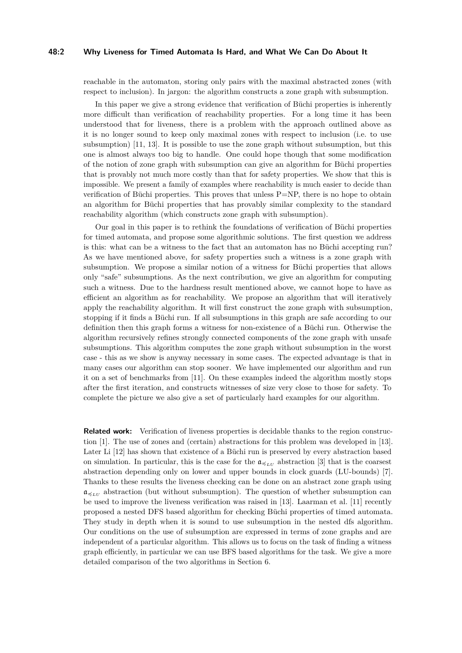#### **48:2 Why Liveness for Timed Automata Is Hard, and What We Can Do About It**

reachable in the automaton, storing only pairs with the maximal abstracted zones (with respect to inclusion). In jargon: the algorithm constructs a zone graph with subsumption.

In this paper we give a strong evidence that verification of Büchi properties is inherently more difficult than verification of reachability properties. For a long time it has been understood that for liveness, there is a problem with the approach outlined above as it is no longer sound to keep only maximal zones with respect to inclusion (i.e. to use subsumption) [\[11,](#page-13-5) [13\]](#page-13-6). It is possible to use the zone graph without subsumption, but this one is almost always too big to handle. One could hope though that some modification of the notion of zone graph with subsumption can give an algorithm for Büchi properties that is provably not much more costly than that for safety properties. We show that this is impossible. We present a family of examples where reachability is much easier to decide than verification of Büchi properties. This proves that unless P=NP, there is no hope to obtain an algorithm for Büchi properties that has provably similar complexity to the standard reachability algorithm (which constructs zone graph with subsumption).

Our goal in this paper is to rethink the foundations of verification of Büchi properties for timed automata, and propose some algorithmic solutions. The first question we address is this: what can be a witness to the fact that an automaton has no Büchi accepting run? As we have mentioned above, for safety properties such a witness is a zone graph with subsumption. We propose a similar notion of a witness for Büchi properties that allows only "safe" subsumptions. As the next contribution, we give an algorithm for computing such a witness. Due to the hardness result mentioned above, we cannot hope to have as efficient an algorithm as for reachability. We propose an algorithm that will iteratively apply the reachability algorithm. It will first construct the zone graph with subsumption, stopping if it finds a Büchi run. If all subsumptions in this graph are safe according to our definition then this graph forms a witness for non-existence of a Büchi run. Otherwise the algorithm recursively refines strongly connected components of the zone graph with unsafe subsumptions. This algorithm computes the zone graph without subsumption in the worst case - this as we show is anyway necessary in some cases. The expected advantage is that in many cases our algorithm can stop sooner. We have implemented our algorithm and run it on a set of benchmarks from [\[11\]](#page-13-5). On these examples indeed the algorithm mostly stops after the first iteration, and constructs witnesses of size very close to those for safety. To complete the picture we also give a set of particularly hard examples for our algorithm.

**Related work:** Verification of liveness properties is decidable thanks to the region construction [\[1\]](#page-13-0). The use of zones and (certain) abstractions for this problem was developed in [\[13\]](#page-13-6). Later Li [\[12\]](#page-13-7) has shown that existence of a Büchi run is preserved by every abstraction based on simulation. In particular, this is the case for the  $\mathfrak{a}_{\preccurlyeq_{LU}}$  abstraction [\[3\]](#page-13-2) that is the coarsest abstraction depending only on lower and upper bounds in clock guards (LU-bounds) [\[7\]](#page-13-8). Thanks to these results the liveness checking can be done on an abstract zone graph using  $\mathfrak{a}_{\preceq_{LL}}$  abstraction (but without subsumption). The question of whether subsumption can be used to improve the liveness verification was raised in [\[13\]](#page-13-6). Laarman et al. [\[11\]](#page-13-5) recently proposed a nested DFS based algorithm for checking Büchi properties of timed automata. They study in depth when it is sound to use subsumption in the nested dfs algorithm. Our conditions on the use of subsumption are expressed in terms of zone graphs and are independent of a particular algorithm. This allows us to focus on the task of finding a witness graph efficiently, in particular we can use BFS based algorithms for the task. We give a more detailed comparison of the two algorithms in Section [6.](#page-10-0)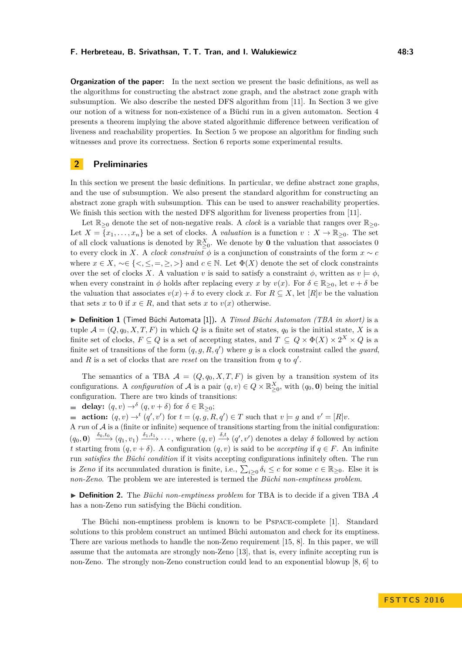**Organization of the paper:** In the next section we present the basic definitions, as well as the algorithms for constructing the abstract zone graph, and the abstract zone graph with subsumption. We also describe the nested DFS algorithm from [\[11\]](#page-13-5). In Section [3](#page-5-0) we give our notion of a witness for non-existence of a Büchi run in a given automaton. Section [4](#page-7-0) presents a theorem implying the above stated algorithmic difference between verification of liveness and reachability properties. In Section [5](#page-8-0) we propose an algorithm for finding such witnesses and prove its correctness. Section [6](#page-10-0) reports some experimental results.

## **2 Preliminaries**

In this section we present the basic definitions. In particular, we define abstract zone graphs, and the use of subsumption. We also present the standard algorithm for constructing an abstract zone graph with subsumption. This can be used to answer reachability properties. We finish this section with the nested DFS algorithm for liveness properties from [\[11\]](#page-13-5).

Let  $\mathbb{R}_{>0}$  denote the set of non-negative reals. A *clock* is a variable that ranges over  $\mathbb{R}_{>0}$ . Let  $X = \{x_1, \ldots, x_n\}$  be a set of clocks. A *valuation* is a function  $v : X \to \mathbb{R}_{\geq 0}$ . The set of all clock valuations is denoted by  $\mathbb{R}^X_{\geq 0}$ . We denote by **0** the valuation that associates 0 to every clock in *X*. A *clock constraint*  $\phi$  is a conjunction of constraints of the form  $x \sim c$ where  $x \in X$ ,  $\sim \in \{ \leq, \leq, =, \geq, \geq \}$  and  $c \in \mathbb{N}$ . Let  $\Phi(X)$  denote the set of clock constraints over the set of clocks *X*. A valuation *v* is said to satisfy a constraint  $\phi$ , written as  $v \models \phi$ , when every constraint in  $\phi$  holds after replacing every *x* by  $v(x)$ . For  $\delta \in \mathbb{R}_{\geq 0}$ , let  $v + \delta$  be the valuation that associates  $v(x) + \delta$  to every clock x. For  $R \subseteq X$ , let  $[R]v$  be the valuation that sets *x* to 0 if  $x \in R$ , and that sets *x* to  $v(x)$  otherwise.

▶ **Definition 1** (Timed Büchi Automata [\[1\]](#page-13-0)). A *Timed Büchi Automaton (TBA in short)* is a tuple  $\mathcal{A} = (Q, q_0, X, T, F)$  in which *Q* is a finite set of states,  $q_0$  is the initial state, *X* is a finite set of clocks,  $F \subseteq Q$  is a set of accepting states, and  $T \subseteq Q \times \Phi(X) \times 2^X \times Q$  is a finite set of transitions of the form  $(q, g, R, q')$  where g is a clock constraint called the *guard*, and  $R$  is a set of clocks that are *reset* on the transition from  $q$  to  $q'$ .

The semantics of a TBA  $\mathcal{A} = (Q, q_0, X, T, F)$  is given by a transition system of its configurations. A *configuration* of  $A$  is a pair  $(q, v) \in Q \times \mathbb{R}_{\geq 0}^X$ , with  $(q_0, \mathbf{0})$  being the initial configuration. There are two kinds of transitions:

**delay:**  $(q, v) \rightarrow^{\delta} (q, v + \delta)$  for  $\delta \in \mathbb{R}_{\geq 0}$ ;

**action:**  $(q, v) \rightarrow^t (q', v')$  for  $t = (q, g, R, q') \in T$  such that  $v \models g$  and  $v' = [R]v$ .

A  $run$  of  $A$  is a (finite or infinite) sequence of transitions starting from the initial configuration:  $(q_0, \mathbf{0}) \xrightarrow{\delta_0, t_0} (q_1, v_1) \xrightarrow{\delta_1, t_1} \cdots$ , where  $(q, v) \xrightarrow{\delta, t} (q', v')$  denotes a delay  $\delta$  followed by action *t* starting from  $(q, v + \delta)$ . A configuration  $(q, v)$  is said to be *accepting* if  $q \in F$ . An infinite run *satisfies the Büchi condition* if it visits accepting configurations infinitely often. The run is *Zeno* if its accumulated duration is finite, i.e.,  $\sum_{i\geq 0} \delta_i \leq c$  for some  $c \in \mathbb{R}_{\geq 0}$ . Else it is *non-Zeno*. The problem we are interested is termed the *Büchi non-emptiness problem*.

▶ **Definition 2.** The *Büchi non-emptiness problem* for TBA is to decide if a given TBA A has a non-Zeno run satisfying the Büchi condition.

The Büchi non-emptiness problem is known to be Pspace-complete [\[1\]](#page-13-0). Standard solutions to this problem construct an untimed Büchi automaton and check for its emptiness. There are various methods to handle the non-Zeno requirement [\[15,](#page-13-9) [8\]](#page-13-10). In this paper, we will assume that the automata are strongly non-Zeno [\[13\]](#page-13-6), that is, every infinite accepting run is non-Zeno. The strongly non-Zeno construction could lead to an exponential blowup [\[8,](#page-13-10) [6\]](#page-13-11) to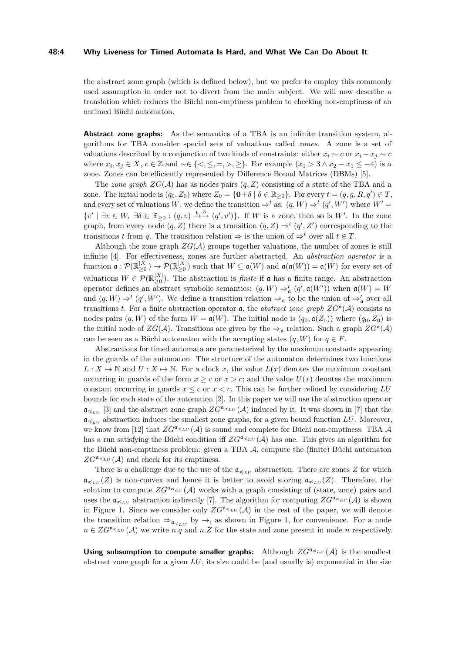#### **48:4 Why Liveness for Timed Automata Is Hard, and What We Can Do About It**

the abstract zone graph (which is defined below), but we prefer to employ this commonly used assumption in order not to divert from the main subject. We will now describe a translation which reduces the Büchi non-emptiness problem to checking non-emptiness of an untimed Büchi automaton.

**Abstract zone graphs:** As the semantics of a TBA is an infinite transition system, algorithms for TBA consider special sets of valuations called *zones*. A zone is a set of valuations described by a conjunction of two kinds of constraints: either  $x_i \sim c$  or  $x_i - x_j \sim c$ where  $x_i, x_j \in X$ ,  $c \in \mathbb{Z}$  and  $\sim \in \{<,\leq,=,>,\geq\}$ . For example  $(x_1 > 3 \land x_2 - x_1 \leq -4)$  is a zone. Zones can be efficiently represented by Difference Bound Matrices (DBMs) [\[5\]](#page-13-12).

The *zone graph*  $ZG(\mathcal{A})$  has as nodes pairs  $(q, Z)$  consisting of a state of the TBA and a zone. The initial node is  $(q_0, Z_0)$  where  $Z_0 = \{ \mathbf{0} + \delta \mid \delta \in \mathbb{R}_{\geq 0} \}$ . For every  $t = (q, g, R, q') \in T$ , and every set of valuations *W*, we define the transition  $\Rightarrow^t$  as:  $(q, W) \Rightarrow^t (q', W')$  where  $W' =$  $\{v' \mid \exists v \in W, \exists \delta \in \mathbb{R}_{\geq 0} : (q, v) \stackrel{t}{\rightarrow \stackrel{\delta}{\rightarrow}} (q', v')\}.$  If *W* is a zone, then so is *W'*. In the zone graph, from every node  $(q, Z)$  there is a transition  $(q, Z) \Rightarrow^t (q', Z')$  corresponding to the transitions *t* from *q*. The transition relation  $\Rightarrow$  is the union of  $\Rightarrow$ <sup>*t*</sup> over all  $t \in T$ .

Although the zone graph  $ZG(\mathcal{A})$  groups together valuations, the number of zones is still infinite [\[4\]](#page-13-1). For effectiveness, zones are further abstracted. An *abstraction operator* is a function  $\mathfrak{a}: \mathcal{P}(\mathbb{R}_{>0}^{|X|})$  $_{\geq0}^{|X|})\rightarrow \mathcal{P}(\mathbb{R}_{\geq0}^{|X|}$  $\sum_{\geq 0}^{|A|}$  such that  $W \subseteq \mathfrak{a}(W)$  and  $\mathfrak{a}(\mathfrak{a}(W)) = \mathfrak{a}(W)$  for every set of valuations  $W \in \mathcal{P}(\mathbb{R}_{\geq 0}^{|X|})$  $\vert A \vert > 0$ . The abstraction is *finite* if **a** has a finite range. An abstraction operator defines an abstract symbolic semantics:  $(q, W) \Rightarrow_{\mathfrak{a}}^t (q', \mathfrak{a}(W'))$  when  $\mathfrak{a}(W) = W$ and  $(q, W) \Rightarrow^t (q', W')$ . We define a transition relation  $\Rightarrow_{\mathfrak{a}}$  to be the union of  $\Rightarrow_{\mathfrak{a}}^t$  over all transitions *t*. For a finite abstraction operator **a**, the *abstract zone graph*  $ZG^{\mathfrak{a}}(\mathcal{A})$  consists as nodes pairs  $(q, W)$  of the form  $W = \mathfrak{a}(W)$ . The initial node is  $(q_0, \mathfrak{a}(Z_0))$  where  $(q_0, Z_0)$  is the initial node of  $ZG(\mathcal{A})$ . Transitions are given by the  $\Rightarrow_{\mathfrak{a}}$  relation. Such a graph  $ZG^{\mathfrak{a}}(\mathcal{A})$ can be seen as a Büchi automaton with the accepting states  $(q, W)$  for  $q \in F$ .

Abstractions for timed automata are parameterized by the maximum constants appearing in the guards of the automaton. The structure of the automaton determines two functions  $L: X \mapsto \mathbb{N}$  and  $U: X \mapsto \mathbb{N}$ . For a clock *x*, the value  $L(x)$  denotes the maximum constant occurring in guards of the form  $x > c$  or  $x > c$ ; and the value  $U(x)$  denotes the maximum constant occurring in guards  $x \leq c$  or  $x \leq c$ . This can be further refined by considering  $LU$ bounds for each state of the automaton [\[2\]](#page-13-13). In this paper we will use the abstraction operator  $\mathfrak{a}_{\preceq_{LU}}$  [\[3\]](#page-13-2) and the abstract zone graph  $ZG^{\mathfrak{a}_{\preceq LU}}(\mathcal{A})$  induced by it. It was shown in [\[7\]](#page-13-8) that the  $\mathfrak{a}_{\preccurlyeq_{LU}}$  abstraction induces the smallest zone graphs, for a given bound function *LU*. Moreover, we know from [\[12\]](#page-13-7) that  $ZG^{\mathfrak{a}_{\preceq_{LU}}}(\mathcal{A})$  is sound and complete for Büchi non-emptiness: TBA  $\mathcal A$ has a run satisfying the Büchi condition iff  $ZG^{\mathfrak{a}} \leq L(U(\mathcal{A}))$  has one. This gives an algorithm for the Büchi non-emptiness problem: given a TBA A, compute the (finite) Büchi automaton  $ZG^{\mathfrak{a}_{\preceq LU}}(\mathcal{A})$  and check for its emptiness.

There is a challenge due to the use of the  $a_{\leq L}$  abstraction. There are zones *Z* for which  $\mathfrak{a}_{\preceq_{LL}}(Z)$  is non-convex and hence it is better to avoid storing  $\mathfrak{a}_{\preceq_{LL}}(Z)$ . Therefore, the solution to compute  $ZG^{\mathfrak{a}_{\preceq}}\iota\iota(\mathcal{A})$  works with a graph consisting of (state, zone) pairs and uses the  $\mathfrak{a}_{\preceq_{LU}}$  abstraction indirectly [\[7\]](#page-13-8). The algorithm for computing  $ZG^{\mathfrak{a}_{\preceq_{LU}}}(\mathcal{A})$  is shown in Figure [1.](#page-4-0) Since we consider only  $ZG^{a_{\preccurlyeq_{LU}}}(\mathcal{A})$  in the rest of the paper, we will denote the transition relation  $\Rightarrow_{\mathfrak{a}_{\preceq_{LU}}}$  by  $\rightarrow$ , as shown in Figure [1,](#page-4-0) for convenience. For a node  $n \in ZG^{a} \leq L(U, \mathcal{A})$  we write *n.q* and *n.Z* for the state and zone present in node *n* respectively.

**Using subsumption to compute smaller graphs:** Although  $ZG^{\mathfrak{a}}\leq \iota_U(\mathcal{A})$  is the smallest abstract zone graph for a given *LU*, its size could be (and usually is) exponential in the size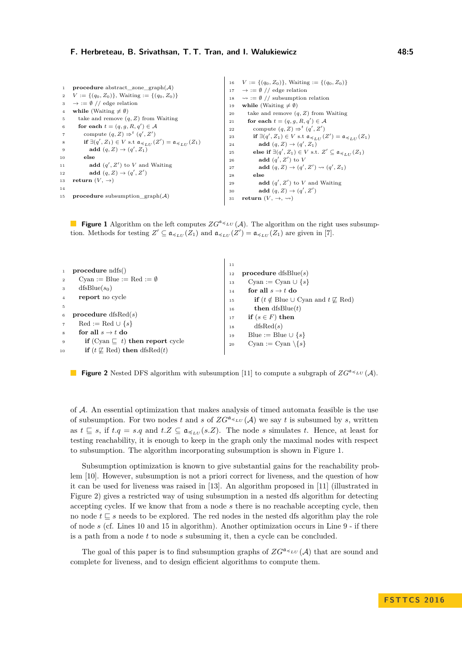<span id="page-4-0"></span>

|                 |                                                                                                                   |    | 16 $V := \{(q_0, Z_0)\}\$ , Waiting := $\{(q_0, Z_0)\}\$                                                          |
|-----------------|-------------------------------------------------------------------------------------------------------------------|----|-------------------------------------------------------------------------------------------------------------------|
|                 | 1 <b>procedure</b> abstract zone graph $(A)$                                                                      |    | $17 \rightarrow \mathcal{O}/\mathcal{O}$ edge relation                                                            |
|                 | 2 $V := \{(q_0, Z_0)\}\$ , Waiting $:= \{(q_0, Z_0)\}\$                                                           |    | 18 $\rightarrow := \emptyset$ // subsumption relation                                                             |
|                 | $3 \rightarrow \mathcal{O}/\mathcal{O}$ edge relation                                                             | 19 | while (Waiting $\neq \emptyset$ )                                                                                 |
| 4               | while (Waiting $\neq \emptyset$ )                                                                                 | 20 | take and remove $(q, Z)$ from Waiting                                                                             |
| 5               | take and remove $(q, Z)$ from Waiting                                                                             | 21 | for each $t = (q, q, R, q') \in \mathcal{A}$                                                                      |
| 6               | for each $t = (q, q, R, q') \in \mathcal{A}$                                                                      | 22 | compute $(q, Z) \Rightarrow^t (q', Z')$                                                                           |
| $\overline{7}$  | compute $(q, Z) \Rightarrow^t (q', Z')$                                                                           | 23 | if $\exists (q', Z_1) \in V$ s.t $\mathfrak{a}_{\preccurlyeq_{III}}(Z') = \mathfrak{a}_{\preccurlyeq_{III}}(Z_1)$ |
| 8               | if $\exists (q', Z_1) \in V$ s.t $\mathfrak{a}_{\preccurlyeq_{LII}}(Z') = \mathfrak{a}_{\preccurlyeq_{LII}}(Z_1)$ | 24 | add $(q, Z) \rightarrow (q', Z_1)$                                                                                |
| 9               | add $(q, Z) \rightarrow (q', Z_1)$                                                                                | 25 | else if $\exists (q', Z_1) \in V$ s.t. $Z' \subseteq \mathfrak{a}_{\preccurlyeq r, tr}(Z_1)$                      |
| 10              | else                                                                                                              |    | add $(q', Z')$ to V                                                                                               |
| 11              | <b>add</b> $(q', Z')$ to V and Waiting                                                                            | 26 | add $(q, Z) \rightarrow (q', Z') \rightsquigarrow (q', Z_1)$                                                      |
| 12              | add $(q, Z) \rightarrow (q', Z')$                                                                                 | 27 |                                                                                                                   |
|                 | 13 return $(V, \rightarrow)$                                                                                      | 28 | else                                                                                                              |
|                 |                                                                                                                   | 29 | add $(q', Z')$ to V and Waiting                                                                                   |
| 14              |                                                                                                                   | 30 | add $(q, Z) \rightarrow (q', Z')$                                                                                 |
| 15 <sub>1</sub> | <b>procedure</b> subsumption $graph(A)$                                                                           | 31 | return $(V, \rightarrow, \rightsquigarrow)$                                                                       |

**Figure 1** Algorithm on the left computes  $ZG^{a} \leq \iota U(\mathcal{A})$ . The algorithm on the right uses subsumption. Methods for testing  $Z' \subseteq \mathfrak{a}_{\preccurlyeq_{LU}}(Z_1)$  and  $\mathfrak{a}_{\preccurlyeq_{LU}}(Z') = \mathfrak{a}_{\preccurlyeq_{LU}}(Z_1)$  are given in [\[7\]](#page-13-8).

<span id="page-4-1"></span>

| procedure ndfs()<br>Cyan := Blue := Red := $\emptyset$<br>$\overline{2}$<br>$dfsBlue(s_0)$<br>3<br>report no cycle<br>$\overline{4}$<br>5<br>procedure $dfsRed(s)$<br>6<br>$\text{Red} := \text{Red} \cup \{s\}$<br>for all $s \rightarrow t$ do<br>8<br>if (Cyan $\sqsubset t$ ) then report cycle<br>9 | 11<br><b>procedure</b> dfsBlue(s)<br>12<br>Cyan := Cyan $\cup$ {s}<br>13<br>for all $s \rightarrow t$ do<br>14<br><b>if</b> $(t \notin \text{Blue} \cup \text{Cyan} \text{ and } t \not\sqsubseteq \text{Red})$<br>15<br><b>then</b> dfsBlue $(t)$<br>16<br>if $(s \in F)$ then<br>17<br>dfsRed(s)<br>18<br>Blue := Blue $\cup \{s\}$<br>19<br>Cyan := Cyan $\{s\}$<br>20 |
|----------------------------------------------------------------------------------------------------------------------------------------------------------------------------------------------------------------------------------------------------------------------------------------------------------|---------------------------------------------------------------------------------------------------------------------------------------------------------------------------------------------------------------------------------------------------------------------------------------------------------------------------------------------------------------------------|
| if $(t \not\sqsubseteq \text{Red})$ then dfsRed $(t)$<br>10                                                                                                                                                                                                                                              |                                                                                                                                                                                                                                                                                                                                                                           |

**Figure 2** Nested DFS algorithm with subsumption [\[11\]](#page-13-5) to compute a subgraph of  $ZG^{\mathfrak{a}} \preccurlyeq_{LLU} (\mathcal{A})$ .

of A. An essential optimization that makes analysis of timed automata feasible is the use of subsumption. For two nodes t and s of  $ZG^{a} \times \iota\iota(\mathcal{A})$  we say t is subsumed by s, written as  $t \subseteq s$ , if  $t.q = s.q$  and  $t.Z \subseteq \mathfrak{a}_{\preccurlyeq_{LU}}(s.Z)$ . The node *s* simulates *t*. Hence, at least for testing reachability, it is enough to keep in the graph only the maximal nodes with respect to subsumption. The algorithm incorporating subsumption is shown in Figure [1.](#page-4-0)

Subsumption optimization is known to give substantial gains for the reachability problem [\[10\]](#page-13-14). However, subsumption is not a priori correct for liveness, and the question of how it can be used for liveness was raised in [\[13\]](#page-13-6). An algorithm proposed in [\[11\]](#page-13-5) (illustrated in Figure [2\)](#page-4-1) gives a restricted way of using subsumption in a nested dfs algorithm for detecting accepting cycles. If we know that from a node *s* there is no reachable accepting cycle, then no node  $t \subseteq s$  needs to be explored. The red nodes in the nested dfs algorithm play the role of node *s* (cf. Lines 10 and 15 in algorithm). Another optimization occurs in Line 9 - if there is a path from a node *t* to node *s* subsuming it, then a cycle can be concluded.

The goal of this paper is to find subsumption graphs of  $ZG^{\mathfrak{a}} \triangleleft \iota_U(\mathcal{A})$  that are sound and complete for liveness, and to design efficient algorithms to compute them.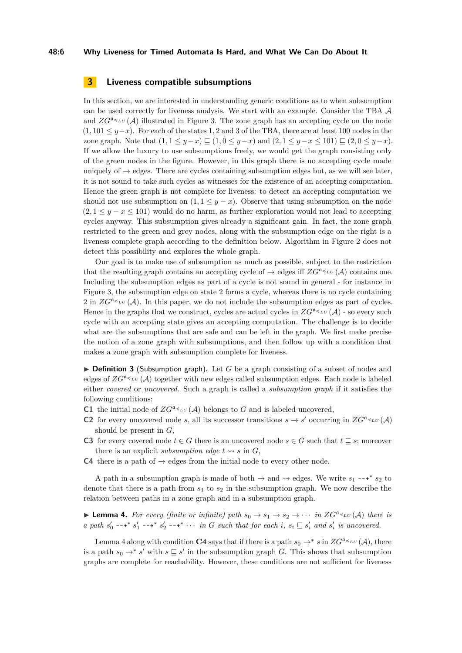#### **48:6 Why Liveness for Timed Automata Is Hard, and What We Can Do About It**

## <span id="page-5-0"></span>**3 Liveness compatible subsumptions**

In this section, we are interested in understanding generic conditions as to when subsumption can be used correctly for liveness analysis. We start with an example. Consider the TBA A and  $ZG^{\mathfrak{a}}\preceq_{LU}(\mathcal{A})$  illustrated in Figure [3.](#page-6-0) The zone graph has an accepting cycle on the node  $(1, 101 \leq y-x)$ . For each of the states 1, 2 and 3 of the TBA, there are at least 100 nodes in the zone graph. Note that  $(1, 1 \le y - x) \sqsubset (1, 0 \le y - x)$  and  $(2, 1 \le y - x \le 101) \sqsubset (2, 0 \le y - x)$ . If we allow the luxury to use subsumptions freely, we would get the graph consisting only of the green nodes in the figure. However, in this graph there is no accepting cycle made uniquely of  $\rightarrow$  edges. There are cycles containing subsumption edges but, as we will see later, it is not sound to take such cycles as witnesses for the existence of an accepting computation. Hence the green graph is not complete for liveness: to detect an accepting computation we should not use subsumption on  $(1, 1 \leq y - x)$ . Observe that using subsumption on the node  $(2, 1 \leq y - x \leq 101)$  would do no harm, as further exploration would not lead to accepting cycles anyway. This subsumption gives already a significant gain. In fact, the zone graph restricted to the green and grey nodes, along with the subsumption edge on the right is a liveness complete graph according to the definition below. Algorithm in Figure [2](#page-4-1) does not detect this possibility and explores the whole graph.

Our goal is to make use of subsumption as much as possible, subject to the restriction that the resulting graph contains an accepting cycle of  $\rightarrow$  edges iff  $ZG^{\mathfrak{a}} \preceq_{LU} (\mathcal{A})$  contains one. Including the subsumption edges as part of a cycle is not sound in general - for instance in Figure [3,](#page-6-0) the subsumption edge on state 2 forms a cycle, whereas there is no cycle containing 2 in  $ZG^{\mathfrak{a}} \preceq_{LU} (\mathcal{A})$ . In this paper, we do not include the subsumption edges as part of cycles. Hence in the graphs that we construct, cycles are actual cycles in  $ZG^{\mathfrak{a}_{\preceq}}(\mathcal{A})$  - so every such cycle with an accepting state gives an accepting computation. The challenge is to decide what are the subsumptions that are safe and can be left in the graph. We first make precise the notion of a zone graph with subsumptions, and then follow up with a condition that makes a zone graph with subsumption complete for liveness.

 $\triangleright$  **Definition 3** (Subsumption graph). Let *G* be a graph consisting of a subset of nodes and edges of  $ZG^{\mathfrak{a}}\leq L^{\nu}(\mathcal{A})$  together with new edges called subsumption edges. Each node is labeled either *covered* or *uncovered*. Such a graph is called a *subsumption graph* if it satisfies the following conditions:

- **C1** the initial node of  $ZG^{\mathfrak{a}_{\preceq}}\mu(\mathcal{A})$  belongs to G and is labeled uncovered,
- **C2** for every uncovered node *s*, all its successor transitions  $s \to s'$  occurring in  $ZG^{\mathfrak{a}_{\preceq_L U}}(\mathcal{A})$ should be present in *G*,
- **C3** for every covered node  $t \in G$  there is an uncovered node  $s \in G$  such that  $t \subseteq s$ ; moreover there is an explicit *subsumption edge*  $t \rightsquigarrow s$  in  $G$ ,
- **C4** there is a path of  $\rightarrow$  edges from the initial node to every other node.

A path in a subsumption graph is made of both  $\rightarrow$  and  $\rightsquigarrow$  edges. We write  $s_1 \rightarrow * s_2$  to denote that there is a path from  $s_1$  to  $s_2$  in the subsumption graph. We now describe the relation between paths in a zone graph and in a subsumption graph.

<span id="page-5-1"></span>**Lemma 4.** For every (finite or infinite) path  $s_0 \to s_1 \to s_2 \to \cdots$  in  $ZG^{\mathfrak{a}_{\preceq_L U}}(\mathcal{A})$  there is a path  $s'_0$  --+\*  $s'_1$  --+\*  $s'_2$  --+\*  $\cdots$  in G such that for each i,  $s_i \subseteq s'_i$  and  $s'_i$  is uncovered.

Lemma [4](#page-5-1) along with condition **C4** says that if there is a path  $s_0 \to s^* s$  in  $ZG^{\mathfrak{a}_{\preceq_L U}}(\mathcal{A})$ , there is a path  $s_0 \to s'$  with  $s \subseteq s'$  in the subsumption graph *G*. This shows that subsumption graphs are complete for reachability. However, these conditions are not sufficient for liveness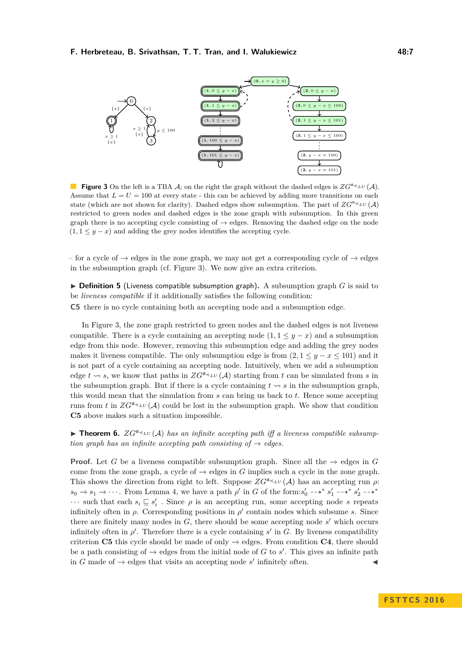<span id="page-6-0"></span>

**Figure 3** On the left is a TBA A; on the right the graph without the dashed edges is  $ZG^{a\prec_{LU}}(\mathcal{A})$ . Assume that  $L = U = 100$  at every state - this can be achieved by adding more transitions on each state (which are not shown for clarity). Dashed edges show subsumption. The part of  $ZG^{\mathfrak{a}}\preceq_{LU}(\mathcal{A})$ restricted to green nodes and dashed edges is the zone graph with subsumption. In this green graph there is no accepting cycle consisting of  $\rightarrow$  edges. Removing the dashed edge on the node  $(1, 1 \leq y - x)$  and adding the grey nodes identifies the accepting cycle.

– for a cycle of  $\rightarrow$  edges in the zone graph, we may not get a corresponding cycle of  $\rightarrow$  edges in the subsumption graph (cf. Figure [3\)](#page-6-0). We now give an extra criterion.

<span id="page-6-2"></span> $\triangleright$  **Definition 5** (Liveness compatible subsumption graph). A subsumption graph *G* is said to be *liveness compatible* if it additionally satisfies the following condition:

**C5** there is no cycle containing both an accepting node and a subsumption edge.

In Figure [3,](#page-6-0) the zone graph restricted to green nodes and the dashed edges is not liveness compatible. There is a cycle containing an accepting node  $(1, 1 \leq y - x)$  and a subsumption edge from this node. However, removing this subsumption edge and adding the grey nodes makes it liveness compatible. The only subsumption edge is from  $(2, 1 \le y - x \le 101)$  and it is not part of a cycle containing an accepting node. Intuitively, when we add a subsumption edge  $t \rightsquigarrow s$ , we know that paths in  $ZG^{a \preceq_L U}(\mathcal{A})$  starting from t can be simulated from s in the subsumption graph. But if there is a cycle containing  $t \rightsquigarrow s$  in the subsumption graph, this would mean that the simulation from *s* can bring us back to *t*. Hence some accepting runs from t in  $ZG^{a} \leq \iota U(\mathcal{A})$  could be lost in the subsumption graph. We show that condition **C5** above makes such a situation impossible.

<span id="page-6-1"></span>**Theorem 6.**  $ZG^{a} \leq \iota U(\mathcal{A})$  has an infinite accepting path iff a liveness compatible subsump*tion graph has an infinite accepting path consisting of*  $\rightarrow$  *edges.* 

**Proof.** Let *G* be a liveness compatible subsumption graph. Since all the  $\rightarrow$  edges in *G* come from the zone graph, a cycle of  $\rightarrow$  edges in *G* implies such a cycle in the zone graph. This shows the direction from right to left. Suppose  $ZG^{\mathfrak{a}_{\preceq_L U}}(\mathcal{A})$  has an accepting run  $\rho$ :  $s_0 \to s_1 \to \cdots$ . From Lemma [4,](#page-5-1) we have a path  $\rho'$  in *G* of the form: $s'_0 \dashrightarrow^* s'_1 \dashrightarrow^* s'_2 \dashrightarrow^*$  $\cdots$  such that each  $s_i \subseteq s'_i$ . Since  $\rho$  is an accepting run, some accepting node *s* repeats infinitely often in  $\rho$ . Corresponding positions in  $\rho'$  contain nodes which subsume *s*. Since there are finitely many nodes in  $G$ , there should be some accepting node  $s'$  which occurs infinitely often in  $\rho'$ . Therefore there is a cycle containing  $s'$  in  $G$ . By liveness compatibility criterion **C5** this cycle should be made of only  $\rightarrow$  edges. From condition **C4**, there should be a path consisting of  $\rightarrow$  edges from the initial node of *G* to *s'*. This gives an infinite path in *G* made of  $\rightarrow$  edges that visits an accepting node *s'* infinitely often.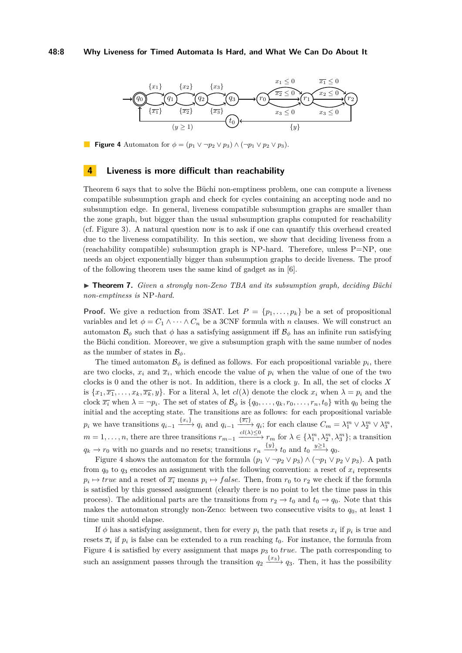#### **48:8 Why Liveness for Timed Automata Is Hard, and What We Can Do About It**

<span id="page-7-1"></span>

**Figure 4** Automaton for  $\phi = (p_1 \lor \neg p_2 \lor p_3) \land (\neg p_1 \lor p_2 \lor p_3)$ .

### <span id="page-7-0"></span>**4 Liveness is more difficult than reachability**

Theorem [6](#page-6-1) says that to solve the Büchi non-emptiness problem, one can compute a liveness compatible subsumption graph and check for cycles containing an accepting node and no subsumption edge. In general, liveness compatible subsumption graphs are smaller than the zone graph, but bigger than the usual subsumption graphs computed for reachability (cf. Figure [3\)](#page-6-0). A natural question now is to ask if one can quantify this overhead created due to the liveness compatibility. In this section, we show that deciding liveness from a (reachability compatible) subsumption graph is NP-hard. Therefore, unless  $P=NP$ , one needs an object exponentially bigger than subsumption graphs to decide liveness. The proof of the following theorem uses the same kind of gadget as in [\[6\]](#page-13-11).

<span id="page-7-2"></span>► **Theorem 7.** *Given a strongly non-Zeno TBA and its subsumption graph, deciding Büchi non-emptiness is* NP*-hard.*

**Proof.** We give a reduction from 3SAT. Let  $P = \{p_1, \ldots, p_k\}$  be a set of propositional variables and let  $\phi = C_1 \wedge \cdots \wedge C_n$  be a 3CNF formula with *n* clauses. We will construct an automaton  $\mathcal{B}_{\phi}$  such that  $\phi$  has a satisfying assignment iff  $\mathcal{B}_{\phi}$  has an infinite run satisfying the Büchi condition. Moreover, we give a subsumption graph with the same number of nodes as the number of states in  $\mathcal{B}_{\phi}$ .

The timed automaton  $\mathcal{B}_{\phi}$  is defined as follows. For each propositional variable  $p_i$ , there are two clocks,  $x_i$  and  $\overline{x}_i$ , which encode the value of  $p_i$  when the value of one of the two clocks is 0 and the other is not. In addition, there is a clock *y*. In all, the set of clocks *X* is  $\{x_1, \overline{x_1}, \ldots, x_k, \overline{x_k}, y\}$ . For a literal  $\lambda$ , let  $cl(\lambda)$  denote the clock  $x_i$  when  $\lambda = p_i$  and the clock  $\overline{x_i}$  when  $\lambda = \neg p_i$ . The set of states of  $\mathcal{B}_{\phi}$  is  $\{q_0, \ldots, q_k, r_0, \ldots, r_n, t_0\}$  with  $q_0$  being the initial and the accepting state. The transitions are as follows: for each propositional variable  $p_i$  we have transitions  $q_{i-1} \xrightarrow{\{x_i\}} q_i$  and  $q_{i-1} \xrightarrow{\{\overline{x_i}\}} q_i$ ; for each clause  $C_m = \lambda_1^m \vee \lambda_2^m \vee \lambda_3^m$ ,  $m = 1, \ldots, n$ , there are three transitions  $r_{m-1} \xrightarrow{cl(\lambda) \leq 0} r_m$  for  $\lambda \in {\lambda_1^m, \lambda_2^m, \lambda_3^m}$ ; a transition  $q_k \to r_0$  with no guards and no resets; transitions  $r_n \xrightarrow{\{y\}} t_0$  and  $t_0 \xrightarrow{y \geq 1} q_0$ .

Figure [4](#page-7-1) shows the automaton for the formula  $(p_1 \vee \neg p_2 \vee p_3) \wedge (\neg p_1 \vee p_2 \vee p_3)$ . A path from  $q_0$  to  $q_3$  encodes an assignment with the following convention: a reset of  $x_i$  represents  $p_i \mapsto true$  and a reset of  $\overline{x_i}$  means  $p_i \mapsto false$ . Then, from  $r_0$  to  $r_2$  we check if the formula is satisfied by this guessed assignment (clearly there is no point to let the time pass in this process). The additional parts are the transitions from  $r_2 \to t_0$  and  $t_0 \to q_0$ . Note that this makes the automaton strongly non-Zeno: between two consecutive visits to  $q_0$ , at least 1 time unit should elapse.

If  $\phi$  has a satisfying assignment, then for every  $p_i$  the path that resets  $x_i$  if  $p_i$  is true and resets  $\bar{x}_i$  if  $p_i$  is false can be extended to a run reaching  $t_0$ . For instance, the formula from Figure [4](#page-7-1) is satisfied by every assignment that maps *p*<sup>3</sup> to *true*. The path corresponding to such an assignment passes through the transition  $q_2 \xrightarrow{\{x_3\}} q_3$ . Then, it has the possibility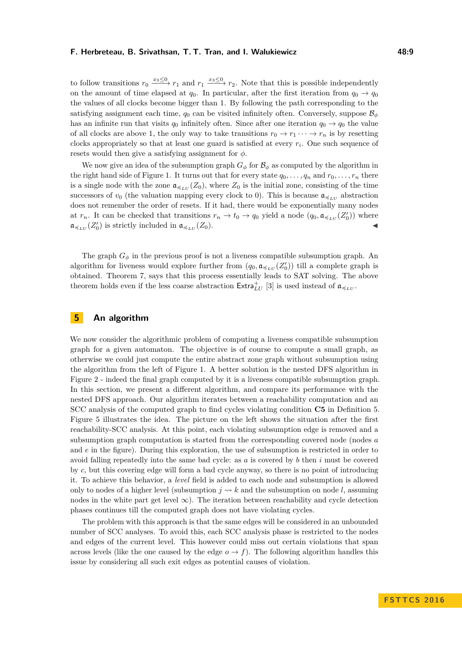to follow transitions  $r_0 \xrightarrow{x_3 \leq 0} r_1$  and  $r_1 \xrightarrow{x_3 \leq 0} r_2$ . Note that this is possible independently on the amount of time elapsed at  $q_0$ . In particular, after the first iteration from  $q_0 \rightarrow q_0$ the values of all clocks become bigger than 1. By following the path corresponding to the satisfying assignment each time,  $q_0$  can be visited infinitely often. Conversely, suppose  $\mathcal{B}_{\phi}$ has an infinite run that visits  $q_0$  infinitely often. Since after one iteration  $q_0 \rightarrow q_0$  the value of all clocks are above 1, the only way to take transitions  $r_0 \to r_1 \cdots \to r_n$  is by resetting clocks appropriately so that at least one guard is satisfied at every *r<sup>i</sup>* . One such sequence of resets would then give a satisfying assignment for *φ*.

We now give an idea of the subsumption graph  $G_{\phi}$  for  $\mathcal{B}_{\phi}$  as computed by the algorithm in the right hand side of Figure [1.](#page-4-0) It turns out that for every state  $q_0, \ldots, q_n$  and  $r_0, \ldots, r_n$  there is a single node with the zone  $a_{\preccurlyeq_{LU}}(Z_0)$ , where  $Z_0$  is the initial zone, consisting of the time successors of  $v_0$  (the valuation mapping every clock to 0). This is because  $\mathfrak{a}_{\preccurlyeq_{LU}}$  abstraction does not remember the order of resets. If it had, there would be exponentially many nodes at  $r_n$ . It can be checked that transitions  $r_n \to t_0 \to q_0$  yield a node  $(q_0, \mathfrak{a}_{\preccurlyeq_{LU}}(Z'_0))$  where  $\mathfrak{a}_{\preccurlyeq_{LU}}(Z'_0)$  is strictly included in  $\mathfrak{a}_{\preccurlyeq_{LU}}(Z_0)$ .

The graph  $G_{\phi}$  in the previous proof is not a liveness compatible subsumption graph. An algorithm for liveness would explore further from  $(q_0, \mathfrak{a}_{\preccurlyeq_{LU}}(Z'_0))$  till a complete graph is obtained. Theorem [7,](#page-7-2) says that this process essentially leads to SAT solving. The above theorem holds even if the less coarse abstraction  $\text{Extra}_{LU}^+$  [\[3\]](#page-13-2) is used instead of  $\mathfrak{a}_{\preccurlyeq_{LU}}$ .

## <span id="page-8-0"></span>**5 An algorithm**

We now consider the algorithmic problem of computing a liveness compatible subsumption graph for a given automaton. The objective is of course to compute a small graph, as otherwise we could just compute the entire abstract zone graph without subsumption using the algorithm from the left of Figure [1.](#page-4-0) A better solution is the nested DFS algorithm in Figure [2](#page-4-1) - indeed the final graph computed by it is a liveness compatible subsumption graph. In this section, we present a different algorithm, and compare its performance with the nested DFS approach. Our algorithm iterates between a reachability computation and an SCC analysis of the computed graph to find cycles violating condition **C5** in Definition [5.](#page-6-2) Figure [5](#page-9-0) illustrates the idea. The picture on the left shows the situation after the first reachability-SCC analysis. At this point, each violating subsumption edge is removed and a subsumption graph computation is started from the corresponding covered node (nodes *a* and *e* in the figure). During this exploration, the use of subsumption is restricted in order to avoid falling repeatedly into the same bad cycle: as *a* is covered by *b* then *i* must be covered by *c*, but this covering edge will form a bad cycle anyway, so there is no point of introducing it. To achieve this behavior, a *level* field is added to each node and subsumption is allowed only to nodes of a higher level (subsumption  $j \rightsquigarrow k$  and the subsumption on node *l*, assuming nodes in the white part get level  $\infty$ ). The iteration between reachability and cycle detection phases continues till the computed graph does not have violating cycles.

The problem with this approach is that the same edges will be considered in an unbounded number of SCC analyses. To avoid this, each SCC analysis phase is restricted to the nodes and edges of the current level. This however could miss out certain violations that span across levels (like the one caused by the edge  $o \rightarrow f$ ). The following algorithm handles this issue by considering all such exit edges as potential causes of violation.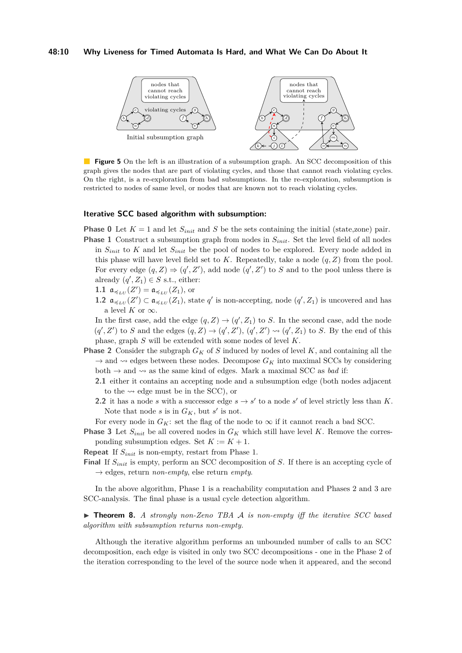#### **48:10 Why Liveness for Timed Automata Is Hard, and What We Can Do About It**

<span id="page-9-0"></span>

**Figure 5** On the left is an illustration of a subsumption graph. An SCC decomposition of this graph gives the nodes that are part of violating cycles, and those that cannot reach violating cycles. On the right, is a re-exploration from bad subsumptions. In the re-exploration, subsumption is restricted to nodes of same level, or nodes that are known not to reach violating cycles.

#### **Iterative SCC based algorithm with subsumption:**

- **Phase 0** Let  $K = 1$  and let  $S_{init}$  and  $S$  be the sets containing the initial (state,zone) pair. **Phase 1** Construct a subsumption graph from nodes in  $S_{init}$ . Set the level field of all nodes in *Sinit* to *K* and let *Sinit* be the pool of nodes to be explored. Every node added in this phase will have level field set to  $K$ . Repeatedly, take a node  $(q, Z)$  from the pool. For every edge  $(q, Z) \Rightarrow (q', Z')$ , add node  $(q', Z')$  to *S* and to the pool unless there is already  $(q', Z_1) \in S$  s.t., either:
	- **1.1**  $a_{\preccurlyeq_{LU}}(Z') = a_{\preccurlyeq_{LU}}(Z_1)$ , or
	- **1.2**  $\mathfrak{a}_{\preccurlyeq_{LU}}(Z')$  ⊂  $\mathfrak{a}_{\preccurlyeq_{LU}}(Z_1)$ , state  $q'$  is non-accepting, node  $(q', Z_1)$  is uncovered and has a level *K* or  $\infty$ .
	- In the first case, add the edge  $(q, Z) \rightarrow (q', Z_1)$  to *S*. In the second case, add the node  $(q', Z')$  to *S* and the edges  $(q, Z) \rightarrow (q', Z')$ ,  $(q', Z') \rightsquigarrow (q', Z_1)$  to *S*. By the end of this phase, graph *S* will be extended with some nodes of level *K*.
- **Phase 2** Consider the subgraph *G<sup>K</sup>* of *S* induced by nodes of level *K*, and containing all the  $\rightarrow$  and  $\rightsquigarrow$  edges between these nodes. Decompose  $G_K$  into maximal SCCs by considering both  $\rightarrow$  and  $\rightsquigarrow$  as the same kind of edges. Mark a maximal SCC as *bad* if:
	- **2.1** either it contains an accepting node and a subsumption edge (both nodes adjacent to the  $\rightsquigarrow$  edge must be in the SCC), or
	- **2.2** it has a node *s* with a successor edge  $s \to s'$  to a node *s'* of level strictly less than *K*. Note that node *s* is in  $G_K$ , but *s'* is not.

For every node in  $G_K$ : set the flag of the node to  $\infty$  if it cannot reach a bad SCC.

**Phase 3** Let  $S_{init}$  be all covered nodes in  $G_K$  which still have level K. Remove the corresponding subsumption edges. Set  $K := K + 1$ .

**Repeat** If *Sinit* is non-empty, restart from Phase 1.

**Final** If *Sinit* is empty, perform an SCC decomposition of *S*. If there is an accepting cycle of  $\rightarrow$  edges, return *non-empty*, else return *empty*.

In the above algorithm, Phase 1 is a reachability computation and Phases 2 and 3 are SCC-analysis. The final phase is a usual cycle detection algorithm.

▶ **Theorem 8.** *A strongly non-Zeno TBA A is non-empty iff the iterative SCC based algorithm with subsumption returns non-empty.*

Although the iterative algorithm performs an unbounded number of calls to an SCC decomposition, each edge is visited in only two SCC decompositions - one in the Phase 2 of the iteration corresponding to the level of the source node when it appeared, and the second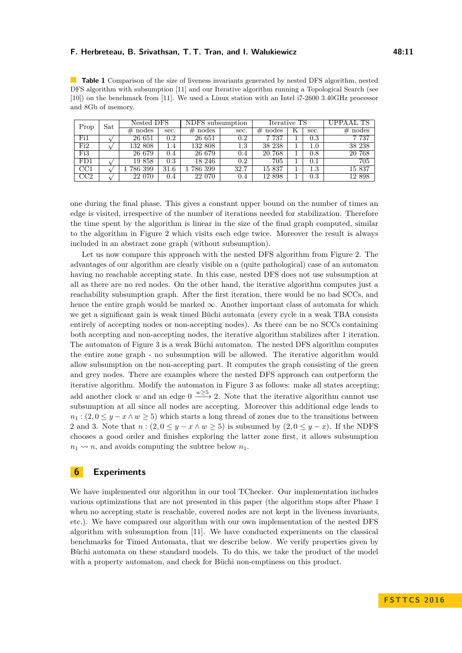<span id="page-10-1"></span>**Table 1** Comparison of the size of liveness invariants generated by nested DFS algorithm, nested DFS algorithm with subsumption [\[11\]](#page-13-5) and our Iterative algorithm running a Topological Search (see [\[10\]](#page-13-14)) on the benchmark from [\[11\]](#page-13-5). We used a Linux station with an Intel i7-2600 3.40GHz processor and 8Gb of memory.

| Prop                    | $\operatorname{Sat}$ | Nested DFS |         | NDFS subsumption |                  | Iterative TS |  |           | UPPAAL TS  |
|-------------------------|----------------------|------------|---------|------------------|------------------|--------------|--|-----------|------------|
|                         |                      | $#$ nodes  | sec.    | $#$ nodes        | sec.             | nodes<br>#   |  | sec.      | $\#$ nodes |
| $Fi\overline{1}$        |                      | 26 651     | $0.2\,$ | 26 651           | 0.2              | 7 7 3 7      |  | $\rm 0.3$ | 7 7 3 7    |
| Fi2                     |                      | 132 808    | 1.4     | 132 808          | $\overline{1.3}$ | 38 238       |  | $1.0\,$   | 38 238     |
| Fi3                     |                      | 26 679     | 0.4     | 26 679           | 0.4              | 20 768       |  | 0.8       | 20 768     |
| FD1                     |                      | 19858      | $0.3\,$ | 18 246           | 0.2              | 705          |  | $0.1\,$   | 705        |
| $\overline{CC1}$        |                      | 786 399    | 31.6    | 786 399          | 32.7             | 15 837       |  | $1.3\,$   | 15 837     |
| $\overline{\text{CC2}}$ |                      | 22 070     | 0.4     | 22 070           | 0.4              | 12 898       |  | $0.3\,$   | 12 898     |

one during the final phase. This gives a constant upper bound on the number of times an edge is visited, irrespective of the number of iterations needed for stabilization. Therefore the time spent by the algorithm is linear in the size of the final graph computed, similar to the algorithm in Figure [2](#page-4-1) which visits each edge twice. Moreover the result is always included in an abstract zone graph (without subsumption).

Let us now compare this approach with the nested DFS algorithm from Figure [2.](#page-4-1) The advantages of our algorithm are clearly visible on a (quite pathological) case of an automaton having no reachable accepting state. In this case, nested DFS does not use subsumption at all as there are no red nodes. On the other hand, the iterative algorithm computes just a reachability subsumption graph. After the first iteration, there would be no bad SCCs, and hence the entire graph would be marked  $\infty$ . Another important class of automata for which we get a significant gain is weak timed Büchi automata (every cycle in a weak TBA consists entirely of accepting nodes or non-accepting nodes). As there can be no SCCs containing both accepting and non-accepting nodes, the iterative algorithm stabilizes after 1 iteration. The automaton of Figure [3](#page-6-0) is a weak Büchi automaton. The nested DFS algorithm computes the entire zone graph - no subsumption will be allowed. The iterative algorithm would allow subsumption on the non-accepting part. It computes the graph consisting of the green and grey nodes. There are examples where the nested DFS approach can outperform the iterative algorithm. Modify the automaton in Figure [3](#page-6-0) as follows: make all states accepting; add another clock *w* and an edge  $0 \xrightarrow{w \geq 5} 2$ . Note that the iterative algorithm cannot use subsumption at all since all nodes are accepting. Moreover this additional edge leads to  $n_1$ : (2, 0  $\leq$  *y* − *x* ∧ *w*  $\geq$  5) which starts a long thread of zones due to the transitions between 2 and 3. Note that  $n:(2,0 \leq y-x \land w \geq 5)$  is subsumed by  $(2,0 \leq y-x)$ . If the NDFS chooses a good order and finishes exploring the latter zone first, it allows subsumption  $n_1 \rightarrow n$ , and avoids computing the subtree below  $n_1$ .

## <span id="page-10-0"></span>**6 Experiments**

We have implemented our algorithm in our tool TChecker. Our implementation includes various optimizations that are not presented in this paper (the algorithm stops after Phase 1 when no accepting state is reachable, covered nodes are not kept in the liveness invariants, etc.). We have compared our algorithm with our own implementation of the nested DFS algorithm with subsumption from [\[11\]](#page-13-5). We have conducted experiments on the classical benchmarks for Timed Automata, that we describe below. We verify properties given by Büchi automata on these standard models. To do this, we take the product of the model with a property automaton, and check for Büchi non-emptiness on this product.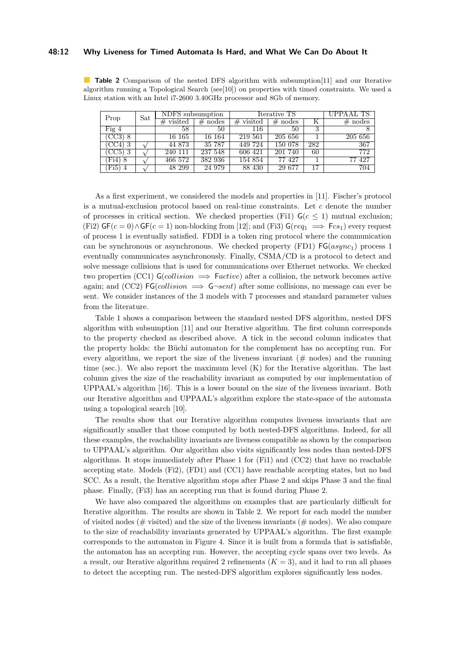#### **48:12 Why Liveness for Timed Automata Is Hard, and What We Can Do About It**

<span id="page-11-0"></span>**Table 2** Comparison of the nested DFS algorithm with subsumption[\[11\]](#page-13-5) and our Iterative algorithm running a Topological Search (see[\[10\]](#page-13-14)) on properties with timed constraints. We used a Linux station with an Intel i7-2600 3.40GHz processor and 8Gb of memory.

| Prop                | Sat | NDFS subsumption    |            | Iterative TS | UPPAAL TS |     |           |
|---------------------|-----|---------------------|------------|--------------|-----------|-----|-----------|
|                     |     | $#$ visited         | #<br>nodes | visited<br># | $#$ nodes |     | $#$ nodes |
| Fig $4$             |     | 58                  | 50         | 116          | 50        | 3   |           |
| (CC3) 8             |     | 16 165              | 16 164     | 219 561      | 205 656   |     | 205 656   |
| CC4)                |     | 44 873              | 35 787     | 449 724      | 150 078   | 282 | 367       |
| CC5) 3              |     | $\overline{240}111$ | 237 548    | 606 421      | 201 740   | 60  | 772       |
| Fi4) 8              |     | 466 572             | 382 936    | 154 854      | 77 427    |     | 77 427    |
| $\langle$ Fi5)<br>4 |     | 48 299              | 24 979     | 88 430       | 29 677    | 17  | 704       |

As a first experiment, we considered the models and properties in [\[11\]](#page-13-5). Fischer's protocol is a mutual-exclusion protocol based on real-time constraints. Let *c* denote the number of processes in critical section. We checked properties (Fi1)  $G(c \le 1)$  mutual exclusion;  $(Fi2)$  GF( $c = 0$ )  $\wedge$  GF( $c = 1$ ) non-blocking from [\[12\]](#page-13-7); and (Fi3) G( $req_1 \implies Fcs_1$ ) every request of process 1 is eventually satisfied. FDDI is a token ring protocol where the communication can be synchronous or asynchronous. We checked property (FD1) FG(*async*1) process 1 eventually communicates asynchronously. Finally, CSMA/CD is a protocol to detect and solve message collisions that is used for communications over Ethernet networks. We checked two properties (CC1)  $\mathsf{G}(collision \implies Factor)$  after a collision, the network becomes active again; and (CC2) FG(*collision* =⇒ G¬*sent*) after some collisions, no message can ever be sent. We consider instances of the 3 models with 7 processes and standard parameter values from the literature.

Table [1](#page-10-1) shows a comparison between the standard nested DFS algorithm, nested DFS algorithm with subsumption [\[11\]](#page-13-5) and our Iterative algorithm. The first column corresponds to the property checked as described above. A tick in the second column indicates that the property holds: the Büchi automaton for the complement has no accepting run. For every algorithm, we report the size of the liveness invariant  $(\# \text{ nodes})$  and the running time (sec.). We also report the maximum level  $(K)$  for the Iterative algorithm. The last column gives the size of the reachability invariant as computed by our implementation of UPPAAL's algorithm [\[16\]](#page-13-15). This is a lower bound on the size of the liveness invariant. Both our Iterative algorithm and UPPAAL's algorithm explore the state-space of the automata using a topological search [\[10\]](#page-13-14).

The results show that our Iterative algorithm computes liveness invariants that are significantly smaller that those computed by both nested-DFS algorithms. Indeed, for all these examples, the reachability invariants are liveness compatible as shown by the comparison to UPPAAL's algorithm. Our algorithm also visits significantly less nodes than nested-DFS algorithms. It stops immediately after Phase 1 for (Fi1) and (CC2) that have no reachable accepting state. Models (Fi2), (FD1) and (CC1) have reachable accepting states, but no bad SCC. As a result, the Iterative algorithm stops after Phase 2 and skips Phase 3 and the final phase. Finally, (Fi3) has an accepting run that is found during Phase 2.

We have also compared the algorithms on examples that are particularly difficult for Iterative algorithm. The results are shown in Table [2.](#page-11-0) We report for each model the number of visited nodes ( $\#$  visited) and the size of the liveness invariants ( $\#$  nodes). We also compare to the size of reachability invariants generated by UPPAAL's algorithm. The first example corresponds to the automaton in Figure [4.](#page-7-1) Since it is built from a formula that is satisfiable, the automaton has an accepting run. However, the accepting cycle spans over two levels. As a result, our Iterative algorithm required 2 refinements  $(K = 3)$ , and it had to run all phases to detect the accepting run. The nested-DFS algorithm explores significantly less nodes.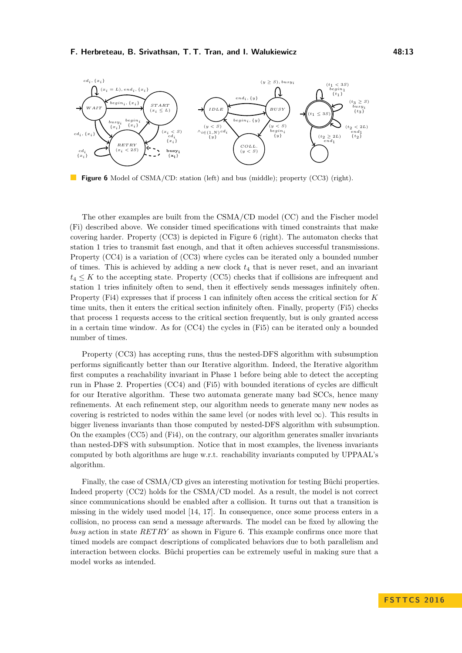<span id="page-12-0"></span>

**Figure 6** Model of CSMA/CD: station (left) and bus (middle); property (CC3) (right).

The other examples are built from the CSMA/CD model (CC) and the Fischer model (Fi) described above. We consider timed specifications with timed constraints that make covering harder. Property (CC3) is depicted in Figure [6](#page-12-0) (right). The automaton checks that station 1 tries to transmit fast enough, and that it often achieves successful transmissions. Property (CC4) is a variation of (CC3) where cycles can be iterated only a bounded number of times. This is achieved by adding a new clock  $t_4$  that is never reset, and an invariant  $t_4 \leq K$  to the accepting state. Property (CC5) checks that if collisions are infrequent and station 1 tries infinitely often to send, then it effectively sends messages infinitely often. Property (Fi4) expresses that if process 1 can infinitely often access the critical section for *K* time units, then it enters the critical section infinitely often. Finally, property (Fi5) checks that process 1 requests access to the critical section frequently, but is only granted access in a certain time window. As for (CC4) the cycles in (Fi5) can be iterated only a bounded number of times.

Property (CC3) has accepting runs, thus the nested-DFS algorithm with subsumption performs significantly better than our Iterative algorithm. Indeed, the Iterative algorithm first computes a reachability invariant in Phase 1 before being able to detect the accepting run in Phase 2. Properties (CC4) and (Fi5) with bounded iterations of cycles are difficult for our Iterative algorithm. These two automata generate many bad SCCs, hence many refinements. At each refinement step, our algorithm needs to generate many new nodes as covering is restricted to nodes within the same level (or nodes with level  $\infty$ ). This results in bigger liveness invariants than those computed by nested-DFS algorithm with subsumption. On the examples (CC5) and (Fi4), on the contrary, our algorithm generates smaller invariants than nested-DFS with subsumption. Notice that in most examples, the liveness invariants computed by both algorithms are huge w.r.t. reachability invariants computed by UPPAAL's algorithm.

Finally, the case of CSMA/CD gives an interesting motivation for testing Büchi properties. Indeed property (CC2) holds for the CSMA/CD model. As a result, the model is not correct since communications should be enabled after a collision. It turns out that a transition is missing in the widely used model [\[14,](#page-13-16) [17\]](#page-13-17). In consequence, once some process enters in a collision, no process can send a message afterwards. The model can be fixed by allowing the *busy* action in state *RET RY* as shown in Figure [6.](#page-12-0) This example confirms once more that timed models are compact descriptions of complicated behaviors due to both parallelism and interaction between clocks. Büchi properties can be extremely useful in making sure that a model works as intended.